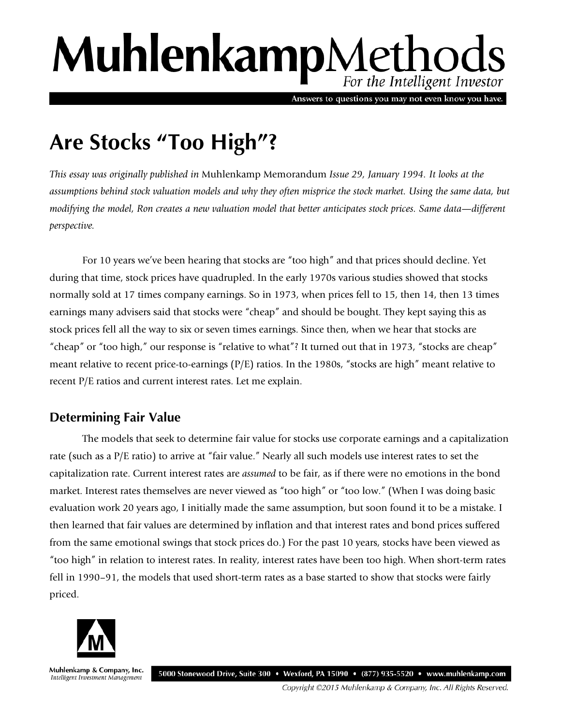# MuhlenkampMethods For the Intelligent Investor

Answers to questions you may not even know you have.

## **Are Stocks "Too High"?**

*This essay was originally published in* Muhlenkamp Memorandum *Issue 29, January 1994. It looks at the assumptions behind stock valuation models and why they often misprice the stock market. Using the same data, but modifying the model, Ron creates a new valuation model that better anticipates stock prices. Same data*—*different perspective.*

For 10 years we've been hearing that stocks are "too high" and that prices should decline. Yet during that time, stock prices have quadrupled. In the early 1970s various studies showed that stocks normally sold at 17 times company earnings. So in 1973, when prices fell to 15, then 14, then 13 times earnings many advisers said that stocks were "cheap" and should be bought. They kept saying this as stock prices fell all the way to six or seven times earnings. Since then, when we hear that stocks are "cheap" or "too high," our response is "relative to what"? It turned out that in 1973, "stocks are cheap" meant relative to recent price-to-earnings (P/E) ratios. In the 1980s, "stocks are high" meant relative to recent P/E ratios and current interest rates. Let me explain.

## **Determining Fair Value**

The models that seek to determine fair value for stocks use corporate earnings and a capitalization rate (such as a P/E ratio) to arrive at "fair value." Nearly all such models use interest rates to set the capitalization rate. Current interest rates are *assumed* to be fair, as if there were no emotions in the bond market. Interest rates themselves are never viewed as "too high" or "too low." (When I was doing basic evaluation work 20 years ago, I initially made the same assumption, but soon found it to be a mistake. I then learned that fair values are determined by inflation and that interest rates and bond prices suffered from the same emotional swings that stock prices do.) For the past 10 years, stocks have been viewed as "too high" in relation to interest rates. In reality, interest rates have been too high. When short-term rates fell in 1990–91, the models that used short-term rates as a base started to show that stocks were fairly priced.



Muhlenkamp & Company, Inc. Intelligent Investment Management

5000 Stonewood Drive, Suite 300 • Wexford, PA 15090 • (877) 935-5520 • www.muhlenkamp.com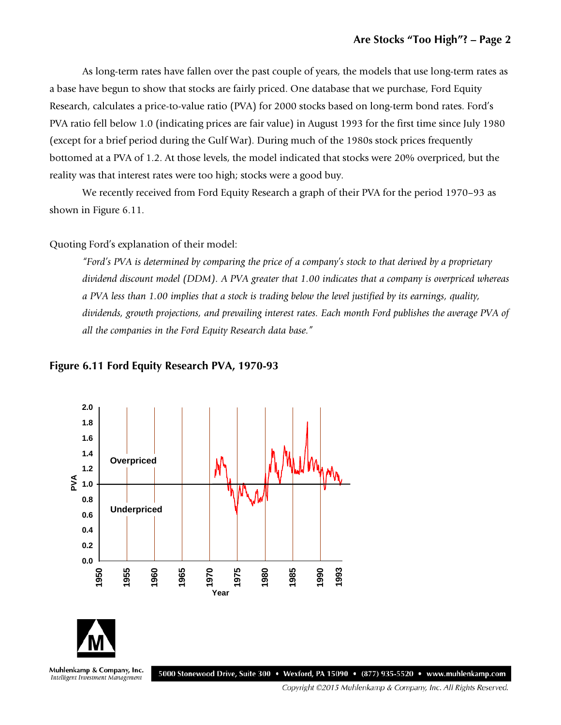As long-term rates have fallen over the past couple of years, the models that use long-term rates as a base have begun to show that stocks are fairly priced. One database that we purchase, Ford Equity Research, calculates a price-to-value ratio (PVA) for 2000 stocks based on long-term bond rates. Ford's PVA ratio fell below 1.0 (indicating prices are fair value) in August 1993 for the first time since July 1980 (except for a brief period during the Gulf War). During much of the 1980s stock prices frequently bottomed at a PVA of 1.2. At those levels, the model indicated that stocks were 20% overpriced, but the reality was that interest rates were too high; stocks were a good buy.

We recently received from Ford Equity Research a graph of their PVA for the period 1970–93 as shown in Figure 6.11.

Quoting Ford's explanation of their model:

*"Ford's PVA is determined by comparing the price of a company's stock to that derived by a proprietary dividend discount model (DDM). A PVA greater that 1.00 indicates that a company is overpriced whereas a PVA less than 1.00 implies that a stock is trading below the level justified by its earnings, quality, dividends, growth projections, and prevailing interest rates. Each month Ford publishes the average PVA of all the companies in the Ford Equity Research data base."*

#### **Figure 6.11 Ford Equity Research PVA, 1970-93**

Intelligent Investment Management



5000 Stonewood Drive, Suite 300 • Wexford, PA 15090 • (877) 935-5520 • www.muhlenkamp.com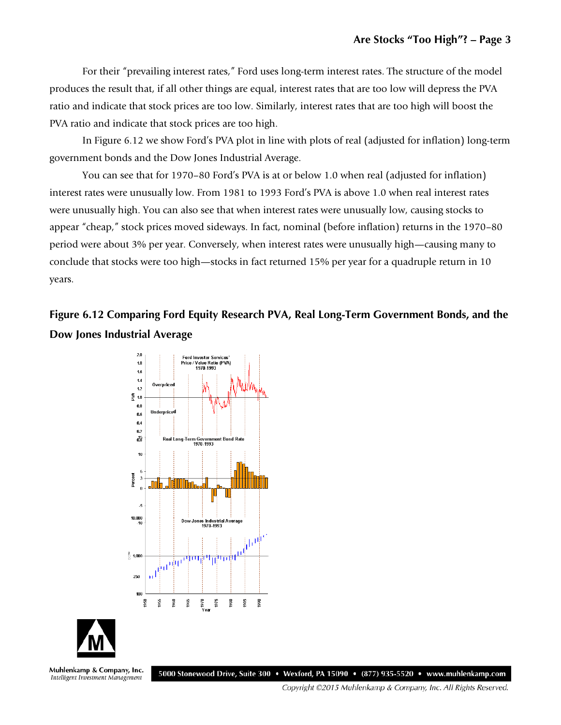For their "prevailing interest rates," Ford uses long-term interest rates. The structure of the model produces the result that, if all other things are equal, interest rates that are too low will depress the PVA ratio and indicate that stock prices are too low. Similarly, interest rates that are too high will boost the PVA ratio and indicate that stock prices are too high.

In Figure 6.12 we show Ford's PVA plot in line with plots of real (adjusted for inflation) long-term government bonds and the Dow Jones Industrial Average.

You can see that for 1970–80 Ford's PVA is at or below 1.0 when real (adjusted for inflation) interest rates were unusually low. From 1981 to 1993 Ford's PVA is above 1.0 when real interest rates were unusually high. You can also see that when interest rates were unusually low, causing stocks to appear "cheap," stock prices moved sideways. In fact, nominal (before inflation) returns in the 1970–80 period were about 3% per year. Conversely, when interest rates were unusually high—causing many to conclude that stocks were too high—stocks in fact returned 15% per year for a quadruple return in 10 years.

## **Figure 6.12 Comparing Ford Equity Research PVA, Real Long-Term Government Bonds, and the Dow Jones Industrial Average**





Muhlenkamp & Company, Inc. Intelligent Investment Management

5000 Stonewood Drive, Suite 300 • Wexford, PA 15090 • (877) 935-5520 • www.muhlenkamp.com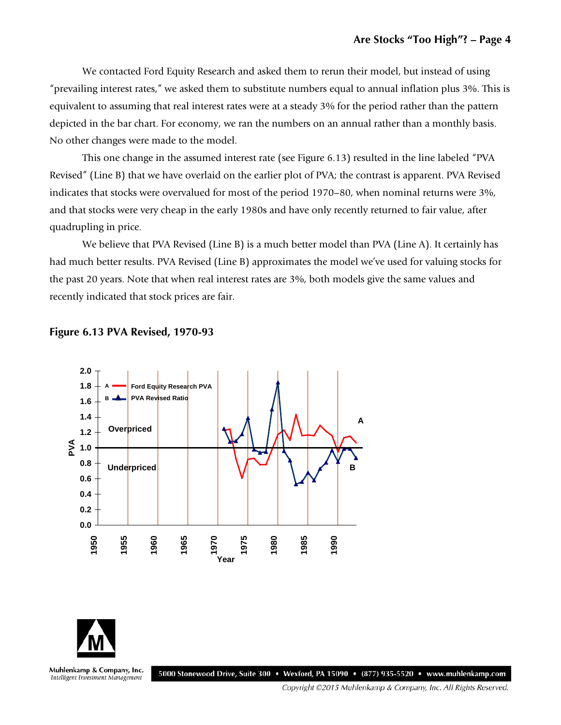We contacted Ford Equity Research and asked them to rerun their model, but instead of using "prevailing interest rates," we asked them to substitute numbers equal to annual inflation plus 3%. This is equivalent to assuming that real interest rates were at a steady 3% for the period rather than the pattern depicted in the bar chart. For economy, we ran the numbers on an annual rather than a monthly basis. No other changes were made to the model.

This one change in the assumed interest rate (see Figure 6.13) resulted in the line labeled "PVA Revised" (Line B) that we have overlaid on the earlier plot of PVA; the contrast is apparent. PVA Revised indicates that stocks were overvalued for most of the period 1970–80, when nominal returns were 3%, and that stocks were very cheap in the early 1980s and have only recently returned to fair value, after quadrupling in price.

We believe that PVA Revised (Line B) is a much better model than PVA (Line A). It certainly has had much better results. PVA Revised (Line B) approximates the model we've used for valuing stocks for the past 20 years. Note that when real interest rates are 3%, both models give the same values and recently indicated that stock prices are fair.







Muhlenkamp & Company, Inc. Intelligent Investment Management

5000 Stonewood Drive, Suite 300 • Wexford, PA 15090 • (877) 935-5520 • www.muhlenkamp.com